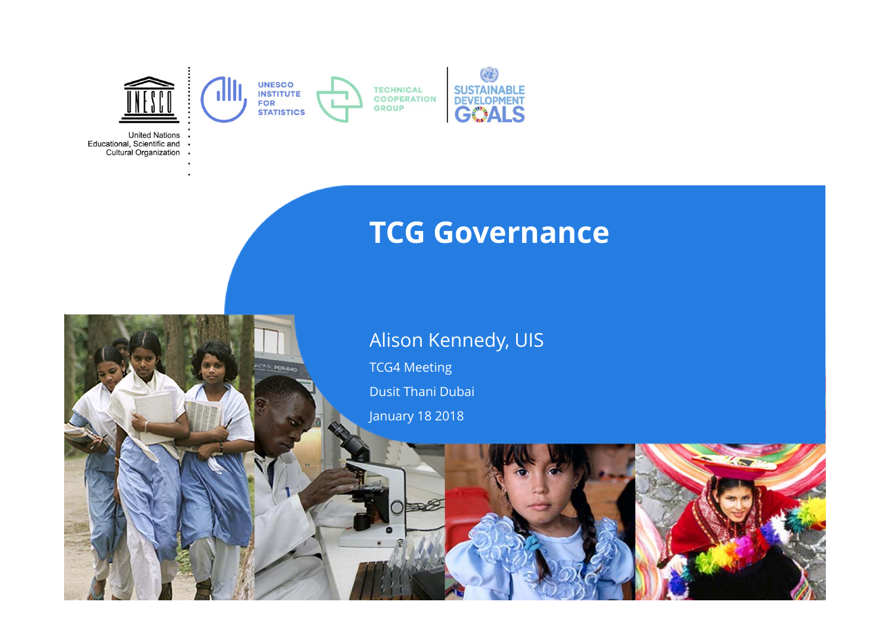

PCREAT

**United Nations** Educational, Scientific and . Cultural Organization .

### **TCG Governance**

#### Alison Kennedy, UIS

TCG4 Meeting

Dusit Thani Dubai

January 18 2018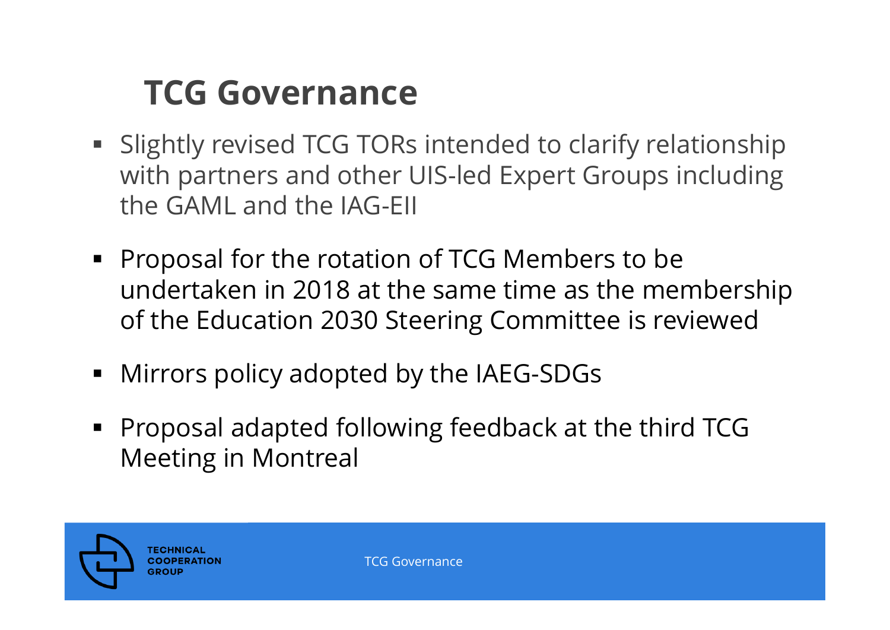## **TCG Governance**

- **Slightly revised TCG TORs intended to clarify relationship** with partners and other UIS-led Expert Groups including the GAML and the IAG-EII
- **Proposal for the rotation of TCG Members to be** undertaken in 2018 at the same time as the membership of the Education 2030 Steering Committee is reviewed
- Mirrors policy adopted by the IAEG-SDGs
- П Proposal adapted following feedback at the third TCG Meeting in Montreal

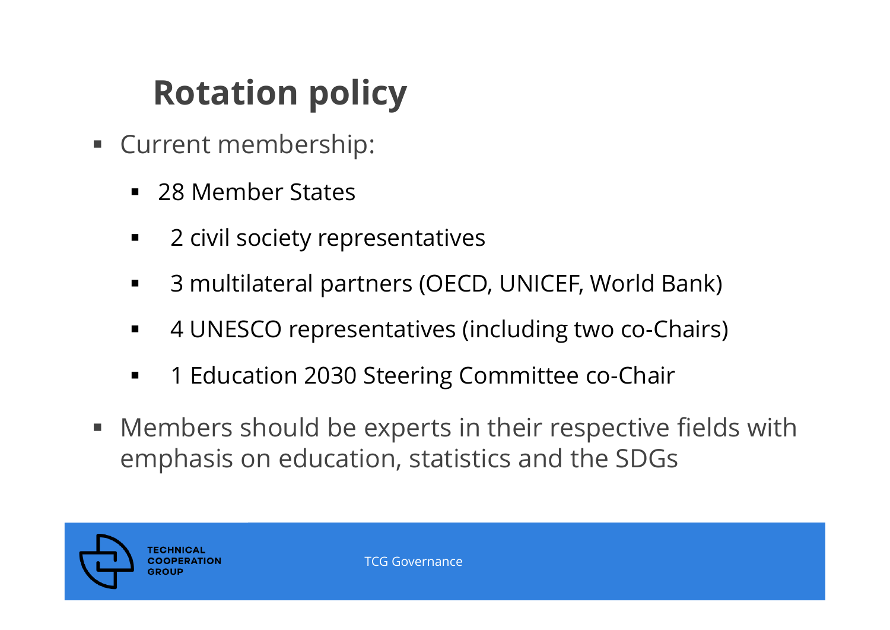## **Rotation policy**

- Current membership:
	- 28 Member States
	- ٠ 2 civil society representatives
	- $\blacksquare$ 3 multilateral partners (OECD, UNICEF, World Bank)
	- $\blacksquare$ 4 UNESCO representatives (including two co-Chairs)
	- $\blacksquare$ 1 Education 2030 Steering Committee co-Chair
- $\blacksquare$  Members should be experts in their respective fields with emphasis on education, statistics and the SDGs

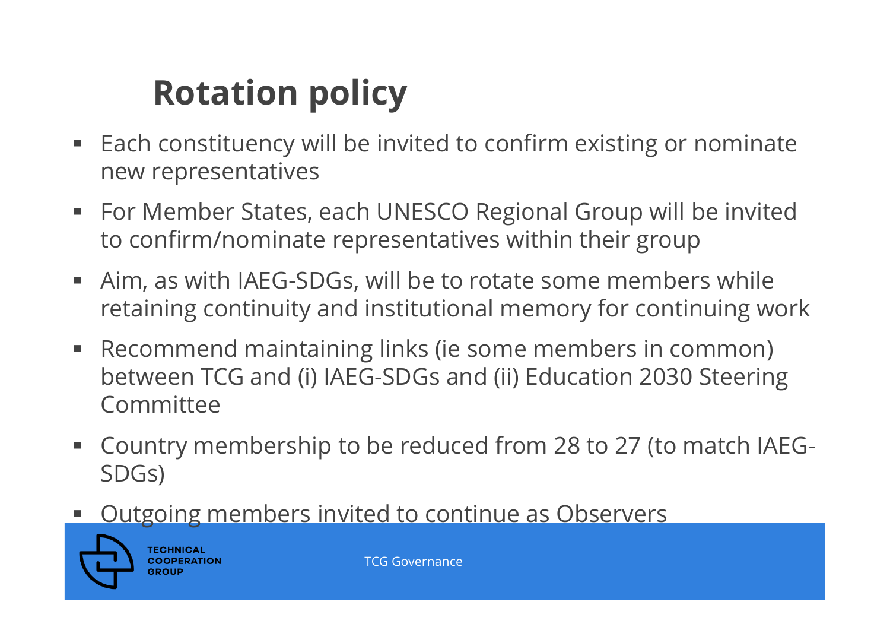# **Rotation policy**

- $\blacksquare$  Each constituency will be invited to confirm existing or nominate new representatives
- For Member States, each UNESCO Regional Group will be invited to confirm/nominate representatives within their group
- $\blacksquare$  Aim, as with IAEG-SDGs, will be to rotate some members while retaining continuity and institutional memory for continuing work
- $\Box$  Recommend maintaining links (ie some members in common) between TCG and (i) IAEG-SDGs and (ii) Education 2030 Steering Committee
- $\blacksquare$  Country membership to be reduced from 28 to 27 (to match IAEG-SDGs)
- П Outgoing members invited to continue as Observers



**TECHNICAL COOPERATION** GROU